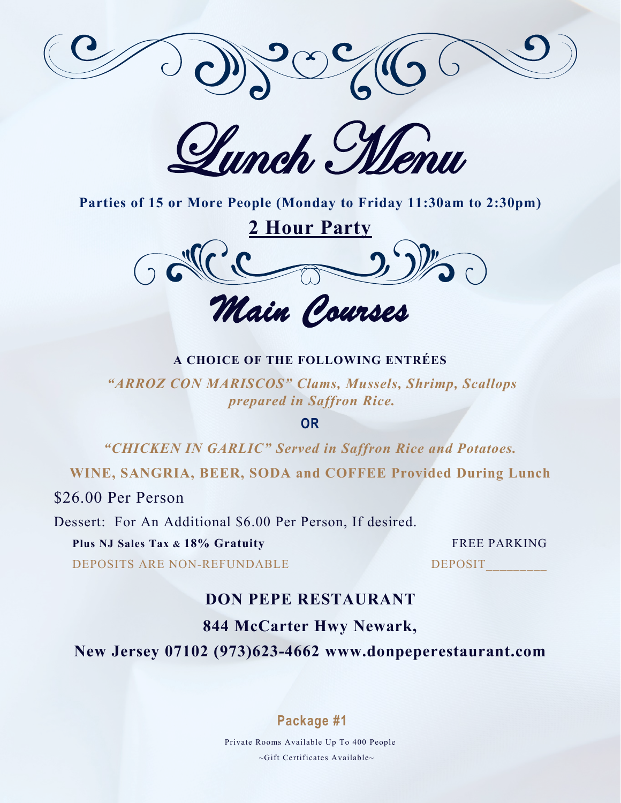

Lunch, Menu



*Main Courses* 

#### **A CHOICE OF THE FOLLOWING ENTRÉES**

*"ARROZ CON MARISCOS" Clams, Mussels, Shrimp, Scallops prepared in Saffron Rice.* 

**OR**

*"CHICKEN IN GARLIC" Served in Saffron Rice and Potatoes.* 

**WINE, SANGRIA, BEER, SODA and COFFEE Provided During Lunch**

\$26.00 Per Person

Dessert: For An Additional \$6.00 Per Person, If desired.

**Plus NJ Sales Tax & 18% Gratuity** FREE PARKING

DEPOSITS ARE NON-REFUNDABLE DEPOSIT

# **DON PEPE RESTAURANT**

# **844 McCarter Hwy Newark,**

**New Jersey 07102 (973)623-4662 www.donpeperestaurant.com**

## **Package #1**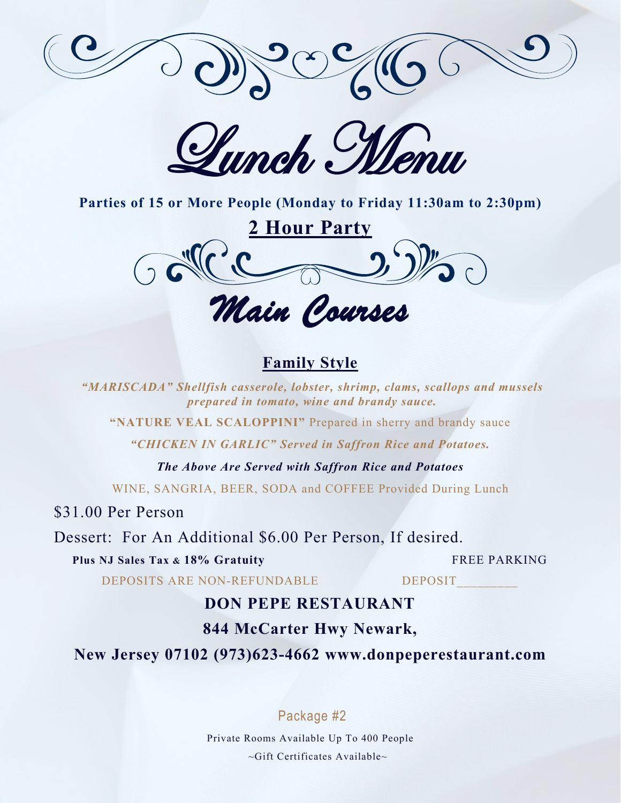

Humch, Menu



*Main Courses* 

# **Family Style**

*"MARISCADA" Shellfish casserole, lobster, shrimp, clams, scallops and mussels prepared in tomato, wine and brandy sauce.* 

**"NATURE VEAL SCALOPPINI"** Prepared in sherry and brandy sauce

*"CHICKEN IN GARLIC" Served in Saffron Rice and Potatoes.* 

*The Above Are Served with Saffron Rice and Potatoes*

WINE, SANGRIA, BEER, SODA and COFFEE Provided During Lunch

\$31.00 Per Person

Dessert: For An Additional \$6.00 Per Person, If desired.

**Plus NJ Sales Tax & 18% Gratuity** FREE PARKING

DEPOSITS ARE NON-REFUNDABLE DEPOSIT

# **DON PEPE RESTAURANT**

# **844 McCarter Hwy Newark,**

**New Jersey 07102 (973)623-4662 www.donpeperestaurant.com**

Package #2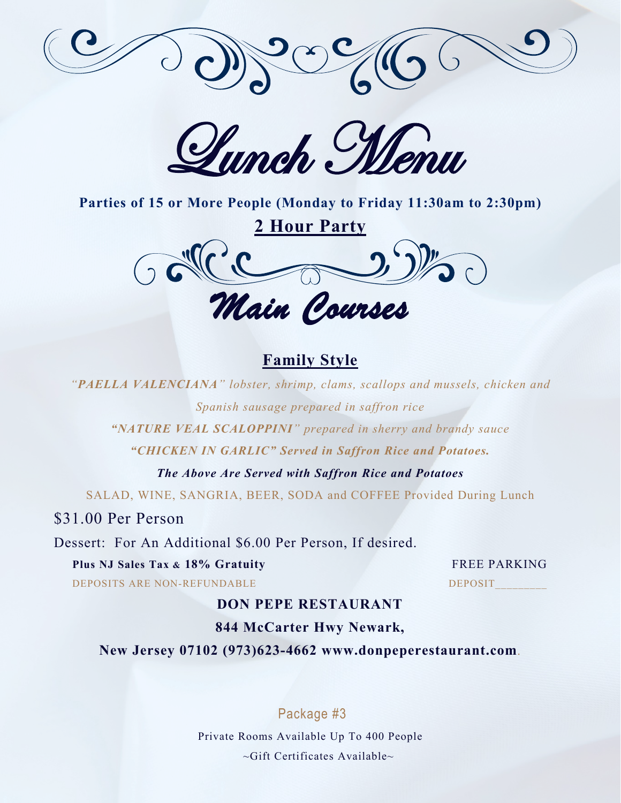

Lunch Menu



# **Family Style**

*"PAELLA VALENCIANA" lobster, shrimp, clams, scallops and mussels, chicken and Spanish sausage prepared in saffron rice* 

*"NATURE VEAL SCALOPPINI" prepared in sherry and brandy sauce* 

*"CHICKEN IN GARLIC" Served in Saffron Rice and Potatoes.* 

*The Above Are Served with Saffron Rice and Potatoes*

SALAD, WINE, SANGRIA, BEER, SODA and COFFEE Provided During Lunch

\$31.00 Per Person

Dessert: For An Additional \$6.00 Per Person, If desired.

## **Plus NJ Sales Tax & 18% Gratuity** FREE PARKING

DEPOSITS ARE NON-REFUNDABLE DEPOSIT

# **DON PEPE RESTAURANT**

# **844 McCarter Hwy Newark,**

**New Jersey 07102 (973)623-4662 www.donpeperestaurant.com**.

# Package #3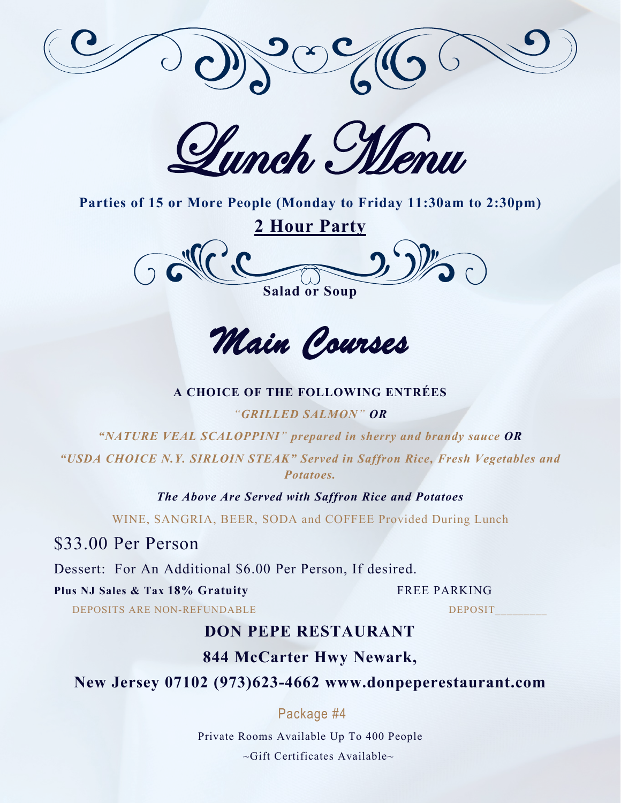

Lunch Menu



*Main Courses* 

#### **A CHOICE OF THE FOLLOWING ENTRÉES**

#### *"GRILLED SALMON" OR*

*"NATURE VEAL SCALOPPINI" prepared in sherry and brandy sauce OR*

*"USDA CHOICE N.Y. SIRLOIN STEAK" Served in Saffron Rice, Fresh Vegetables and Potatoes.* 

*The Above Are Served with Saffron Rice and Potatoes*

WINE, SANGRIA, BEER, SODA and COFFEE Provided During Lunch

\$33.00 Per Person

Dessert: For An Additional \$6.00 Per Person, If desired.

**Plus NJ Sales & Tax 18% Gratuity** FREE PARKING

DEPOSITS ARE NON-REFUNDABLE DEPOSIT

# **DON PEPE RESTAURANT**

## **844 McCarter Hwy Newark,**

# **New Jersey 07102 (973)623-4662 www.donpeperestaurant.com**

## Package #4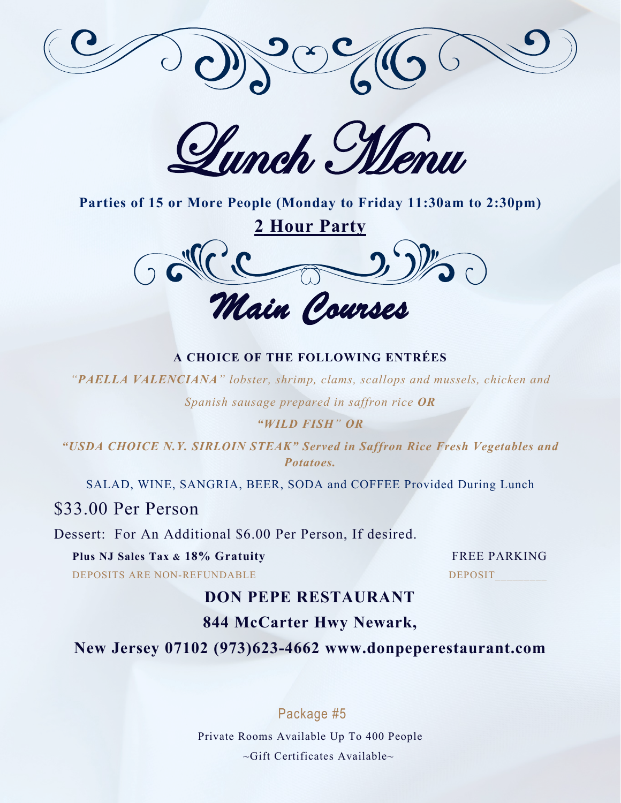

Lunch, Menu



#### **A CHOICE OF THE FOLLOWING ENTRÉES**

*"PAELLA VALENCIANA" lobster, shrimp, clams, scallops and mussels, chicken and* 

*Spanish sausage prepared in saffron rice OR*

#### *"WILD FISH" OR*

*"USDA CHOICE N.Y. SIRLOIN STEAK" Served in Saffron Rice Fresh Vegetables and Potatoes.* 

SALAD, WINE, SANGRIA, BEER, SODA and COFFEE Provided During Lunch

\$33.00 Per Person

Dessert: For An Additional \$6.00 Per Person, If desired.

**Plus NJ Sales Tax & 18% Gratuity** FREE PARKING

DEPOSITS ARE NON-REFUNDABLE DEPOSIT

# **DON PEPE RESTAURANT**

# **844 McCarter Hwy Newark,**

**New Jersey 07102 (973)623-4662 www.donpeperestaurant.com**

Package #5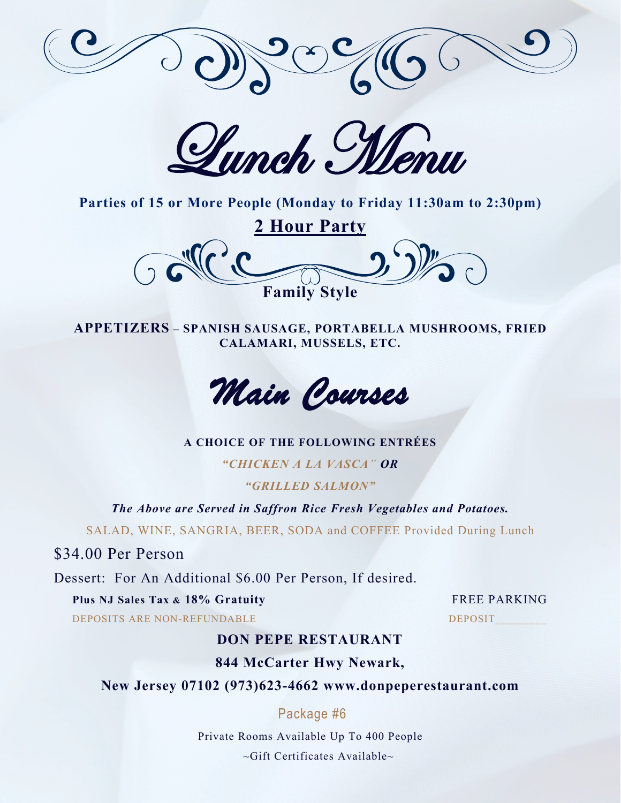

Lunch Menu



**APPETIZERS – SPANISH SAUSAGE, PORTABELLA MUSHROOMS, FRIED CALAMARI, MUSSELS, ETC.**



**A CHOICE OF THE FOLLOWING ENTRÉES**

*"CHICKEN A LA VASCA" OR "GRILLED SALMON"* 

*The Above are Served in Saffron Rice Fresh Vegetables and Potatoes.* 

SALAD, WINE, SANGRIA, BEER, SODA and COFFEE Provided During Lunch

\$34.00 Per Person

Dessert: For An Additional \$6.00 Per Person, If desired.

**Plus NJ Sales Tax & 18% Gratuity** FREE PARKING

DEPOSITS ARE NON-REFUNDABLE DEPOSIT

# **DON PEPE RESTAURANT**

# **844 McCarter Hwy Newark,**

**New Jersey 07102 (973)623-4662 www.donpeperestaurant.com**

# Package #6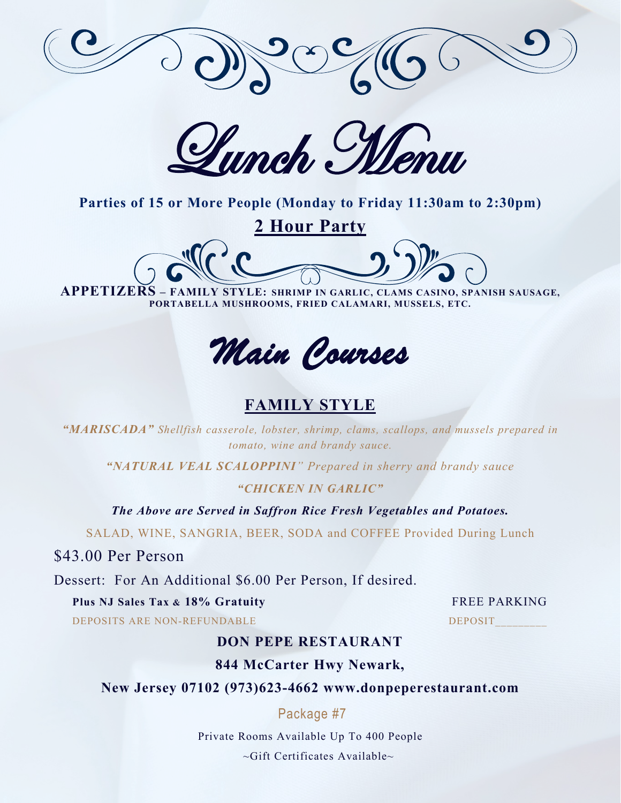

Lunch Menu

**2 Hour Party** 

**APPETIZERS – FAMILY STYLE: SHRIMP IN GARLIC, CLAMS CASINO, SPANISH SAUSAGE, PORTABELLA MUSHROOMS, FRIED CALAMARI, MUSSELS, ETC.** 

*Main Courses* 

# **FAMILY STYLE**

*"MARISCADA" Shellfish casserole, lobster, shrimp, clams, scallops, and mussels prepared in tomato, wine and brandy sauce.*

*"NATURAL VEAL SCALOPPINI" Prepared in sherry and brandy sauce*

#### *"CHICKEN IN GARLIC"*

*The Above are Served in Saffron Rice Fresh Vegetables and Potatoes.* 

SALAD, WINE, SANGRIA, BEER, SODA and COFFEE Provided During Lunch

\$43.00 Per Person

Dessert: For An Additional \$6.00 Per Person, If desired.

**Plus NJ Sales Tax & 18% Gratuity** FREE PARKING

DEPOSITS ARE NON-REFUNDABLE DEPOSIT

## **DON PEPE RESTAURANT**

## **844 McCarter Hwy Newark,**

**New Jersey 07102 (973)623-4662 www.donpeperestaurant.com**

## Package #7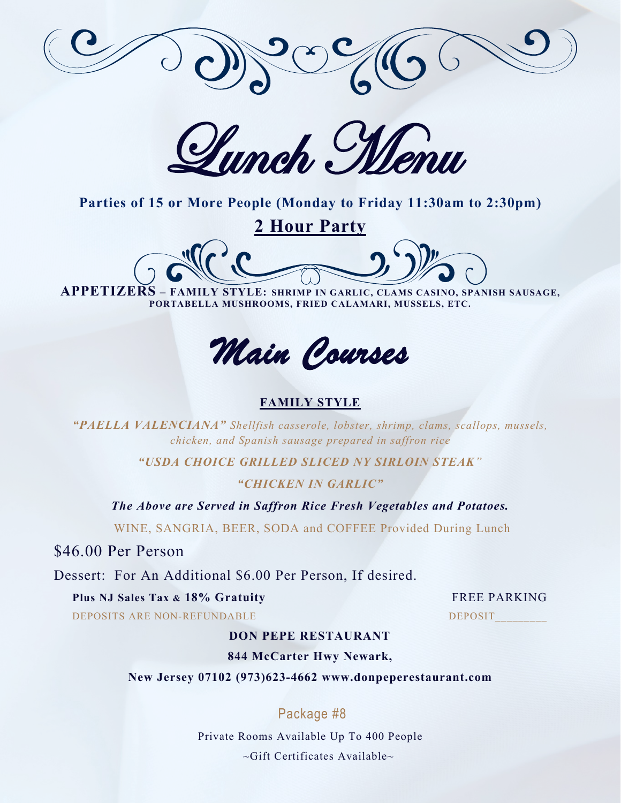

Lunch, Menu

**2 Hour Party** 

**APPETIZERS – FAMILY STYLE: SHRIMP IN GARLIC, CLAMS CASINO, SPANISH SAUSAGE, PORTABELLA MUSHROOMS, FRIED CALAMARI, MUSSELS, ETC.** 

*Main Courses* 

### **FAMILY STYLE**

*"PAELLA VALENCIANA" Shellfish casserole, lobster, shrimp, clams, scallops, mussels, chicken, and Spanish sausage prepared in saffron rice*

*"USDA CHOICE GRILLED SLICED NY SIRLOIN STEAK"*

#### *"CHICKEN IN GARLIC"*

*The Above are Served in Saffron Rice Fresh Vegetables and Potatoes.* 

WINE, SANGRIA, BEER, SODA and COFFEE Provided During Lunch

\$46.00 Per Person

Dessert: For An Additional \$6.00 Per Person, If desired.

#### **Plus NJ Sales Tax & 18% Gratuity** FREE PARKING

DEPOSITS ARE NON-REFUNDABLE DEPOSIT

## **DON PEPE RESTAURANT**

#### **844 McCarter Hwy Newark,**

**New Jersey 07102 (973)623-4662 www.donpeperestaurant.com**

## Package #8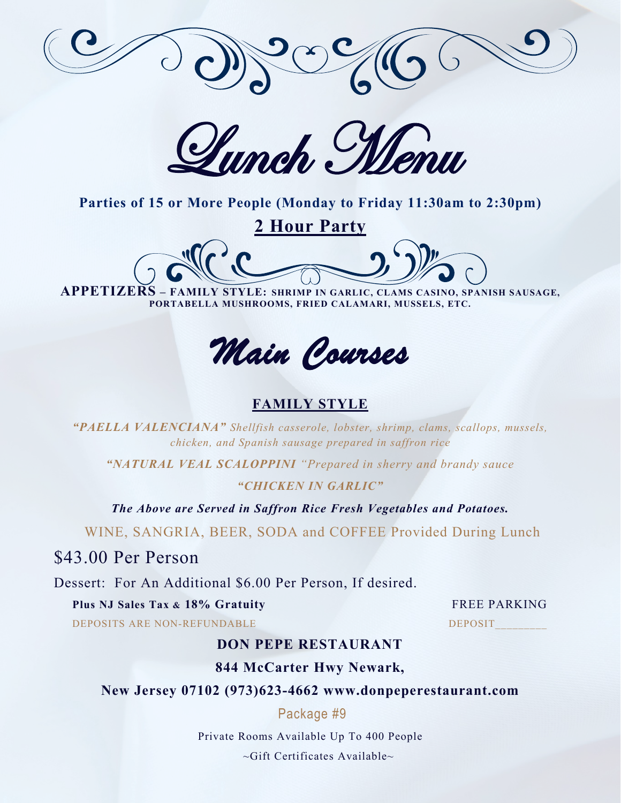

Humch, Memir

**2 Hour Party** 

**APPETIZERS – FAMILY STYLE: SHRIMP IN GARLIC, CLAMS CASINO, SPANISH SAUSAGE, PORTABELLA MUSHROOMS, FRIED CALAMARI, MUSSELS, ETC.** 

*Main Courses* 

# **FAMILY STYLE**

*"PAELLA VALENCIANA" Shellfish casserole, lobster, shrimp, clams, scallops, mussels, chicken, and Spanish sausage prepared in saffron rice*

*"NATURAL VEAL SCALOPPINI "Prepared in sherry and brandy sauce*

### *"CHICKEN IN GARLIC"*

*The Above are Served in Saffron Rice Fresh Vegetables and Potatoes.* 

WINE, SANGRIA, BEER, SODA and COFFEE Provided During Lunch

\$43.00 Per Person

Dessert: For An Additional \$6.00 Per Person, If desired.

**Plus NJ Sales Tax & 18% Gratuity** FREE PARKING

DEPOSITS ARE NON-REFUNDABLE DEPOSIT

# **DON PEPE RESTAURANT**

## **844 McCarter Hwy Newark,**

**New Jersey 07102 (973)623-4662 www.donpeperestaurant.com**

## Package #9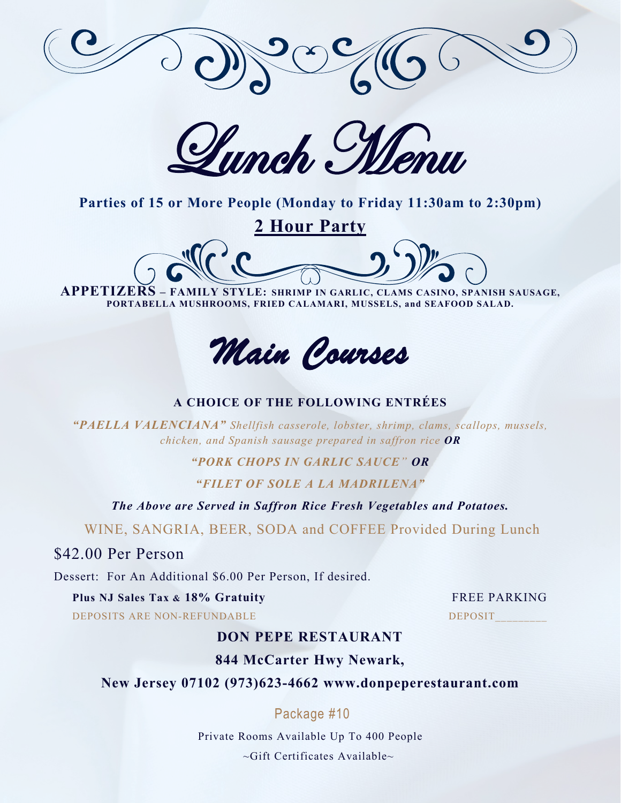

Lunch Menu

**2 Hour Party** 

**APPETIZERS – FAMILY STYLE: SHRIMP IN GARLIC, CLAMS CASINO, SPANISH SAUSAGE,** 

**PORTABELLA MUSHROOMS, FRIED CALAMARI, MUSSELS, and SEAFOOD SALAD.**



## **A CHOICE OF THE FOLLOWING ENTRÉES**

*"PAELLA VALENCIANA" Shellfish casserole, lobster, shrimp, clams, scallops, mussels, chicken, and Spanish sausage prepared in saffron rice OR*

*"PORK CHOPS IN GARLIC SAUCE" OR*

*"FILET OF SOLE A LA MADRILENA"* 

*The Above are Served in Saffron Rice Fresh Vegetables and Potatoes.* 

WINE, SANGRIA, BEER, SODA and COFFEE Provided During Lunch

\$42.00 Per Person

Dessert: For An Additional \$6.00 Per Person, If desired.

### **Plus NJ Sales Tax & 18% Gratuity** FREE PARKING

DEPOSITS ARE NON-REFUNDABLE DEPOSIT

## **DON PEPE RESTAURANT**

**844 McCarter Hwy Newark,**

## **New Jersey 07102 (973)623-4662 www.donpeperestaurant.com**

# Package #10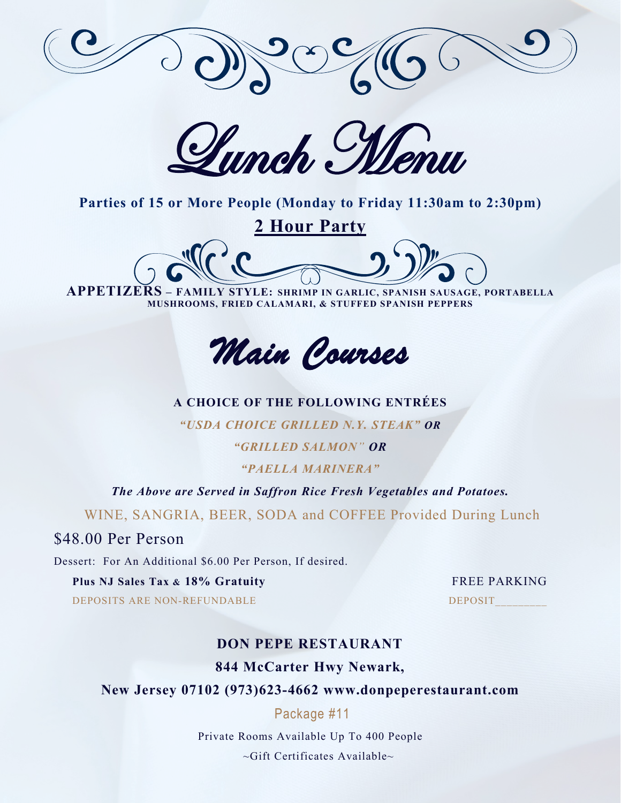

Lunch Menu

**2 Hour Party** 

**APPETIZERS – FAMILY STYLE: SHRIMP IN GARLIC, SPANISH SAUSAGE, PORTABELLA MUSHROOMS, FRIED CALAMARI, & STUFFED SPANISH PEPPERS**



### **A CHOICE OF THE FOLLOWING ENTRÉES**

*"USDA CHOICE GRILLED N.Y. STEAK" OR*

*"GRILLED SALMON" OR*

*"PAELLA MARINERA"* 

*The Above are Served in Saffron Rice Fresh Vegetables and Potatoes.* 

WINE, SANGRIA, BEER, SODA and COFFEE Provided During Lunch

## \$48.00 Per Person

Dessert: For An Additional \$6.00 Per Person, If desired.

### **Plus NJ Sales Tax & 18% Gratuity** FREE PARKING

DEPOSITS ARE NON-REFUNDABLE DEPOSIT

# **DON PEPE RESTAURANT 844 McCarter Hwy Newark,**

# **New Jersey 07102 (973)623-4662 www.donpeperestaurant.com**

## Package #11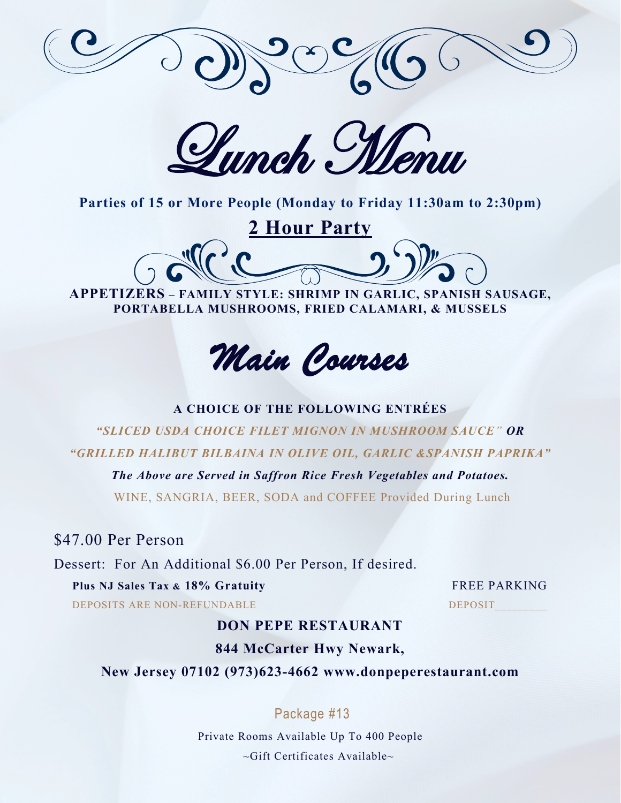

Lunch Menu

**2 Hour Party** 

**APPETIZERS – FAMILY STYLE: SHRIMP IN GARLIC, SPANISH SAUSAGE, PORTABELLA MUSHROOMS, FRIED CALAMARI, & MUSSELS**

*Main Courses* 

### **A CHOICE OF THE FOLLOWING ENTRÉES**

*"SLICED USDA CHOICE FILET MIGNON IN MUSHROOM SAUCE" OR "GRILLED HALIBUT BILBAINA IN OLIVE OIL, GARLIC &SPANISH PAPRIKA"*

*The Above are Served in Saffron Rice Fresh Vegetables and Potatoes.* 

WINE, SANGRIA, BEER, SODA and COFFEE Provided During Lunch

\$47.00 Per Person

Dessert: For An Additional \$6.00 Per Person, If desired.

**Plus NJ Sales Tax & 18% Gratuity** FREE PARKING DEPOSITS ARE NON-REFUNDABLE DEPOSIT

# **DON PEPE RESTAURANT**

**844 McCarter Hwy Newark,**

**New Jersey 07102 (973)623-4662 www.donpeperestaurant.com**

# Package #13